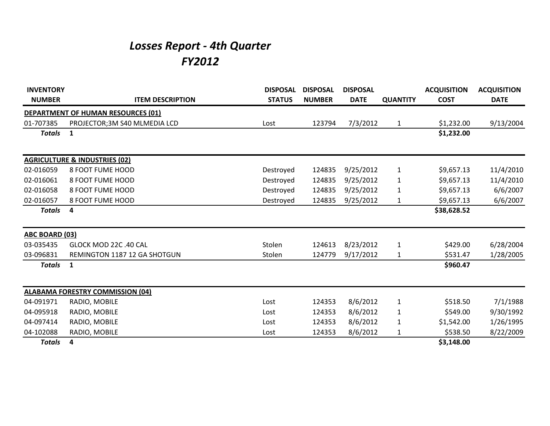## *Losses Report - 4th Quarter FY2012*

| <b>INVENTORY</b>      |                                           | <b>DISPOSAL</b> | <b>DISPOSAL</b> | <b>DISPOSAL</b> |                 | <b>ACQUISITION</b> | <b>ACQUISITION</b> |
|-----------------------|-------------------------------------------|-----------------|-----------------|-----------------|-----------------|--------------------|--------------------|
| <b>NUMBER</b>         | <b>ITEM DESCRIPTION</b>                   | <b>STATUS</b>   | <b>NUMBER</b>   | <b>DATE</b>     | <b>QUANTITY</b> | <b>COST</b>        | <b>DATE</b>        |
|                       | <b>DEPARTMENT OF HUMAN RESOURCES (01)</b> |                 |                 |                 |                 |                    |                    |
| 01-707385             | PROJECTOR; 3M S40 MLMEDIA LCD             | Lost            | 123794          | 7/3/2012        | $\mathbf{1}$    | \$1,232.00         | 9/13/2004          |
| <b>Totals</b>         | $\mathbf{1}$                              |                 |                 |                 |                 | \$1,232.00         |                    |
|                       | <b>AGRICULTURE &amp; INDUSTRIES (02)</b>  |                 |                 |                 |                 |                    |                    |
| 02-016059             | 8 FOOT FUME HOOD                          | Destroyed       | 124835          | 9/25/2012       | $\mathbf{1}$    | \$9,657.13         | 11/4/2010          |
| 02-016061             | 8 FOOT FUME HOOD                          | Destroyed       | 124835          | 9/25/2012       | 1               | \$9,657.13         | 11/4/2010          |
| 02-016058             | 8 FOOT FUME HOOD                          | Destroyed       | 124835          | 9/25/2012       | $\mathbf{1}$    | \$9,657.13         | 6/6/2007           |
| 02-016057             | 8 FOOT FUME HOOD                          | Destroyed       | 124835          | 9/25/2012       | 1               | \$9,657.13         | 6/6/2007           |
| <b>Totals</b>         | 4                                         |                 |                 |                 |                 | \$38,628.52        |                    |
| <b>ABC BOARD (03)</b> |                                           |                 |                 |                 |                 |                    |                    |
| 03-035435             | GLOCK MOD 22C .40 CAL                     | Stolen          | 124613          | 8/23/2012       | $\mathbf{1}$    | \$429.00           | 6/28/2004          |
| 03-096831             | REMINGTON 1187 12 GA SHOTGUN              | Stolen          | 124779          | 9/17/2012       | $\mathbf{1}$    | \$531.47           | 1/28/2005          |
| <b>Totals</b>         | $\mathbf{1}$                              |                 |                 |                 |                 | \$960.47           |                    |
|                       | <b>ALABAMA FORESTRY COMMISSION (04)</b>   |                 |                 |                 |                 |                    |                    |
| 04-091971             | RADIO, MOBILE                             | Lost            | 124353          | 8/6/2012        | $\mathbf{1}$    | \$518.50           | 7/1/1988           |
| 04-095918             | RADIO, MOBILE                             | Lost            | 124353          | 8/6/2012        | 1               | \$549.00           | 9/30/1992          |
| 04-097414             | RADIO, MOBILE                             | Lost            | 124353          | 8/6/2012        | $\mathbf{1}$    | \$1,542.00         | 1/26/1995          |
| 04-102088             | RADIO, MOBILE                             | Lost            | 124353          | 8/6/2012        | $\mathbf{1}$    | \$538.50           | 8/22/2009          |
| <b>Totals</b>         | 4                                         |                 |                 |                 |                 | \$3,148.00         |                    |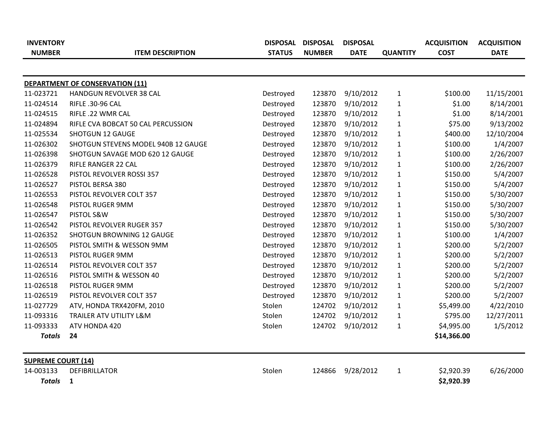| <b>INVENTORY</b><br><b>NUMBER</b> | <b>ITEM DESCRIPTION</b>             | <b>STATUS</b> | DISPOSAL DISPOSAL<br><b>NUMBER</b> | <b>DISPOSAL</b><br><b>DATE</b> | <b>QUANTITY</b> | <b>ACQUISITION</b><br><b>COST</b> | <b>ACQUISITION</b><br><b>DATE</b> |
|-----------------------------------|-------------------------------------|---------------|------------------------------------|--------------------------------|-----------------|-----------------------------------|-----------------------------------|
|                                   |                                     |               |                                    |                                |                 |                                   |                                   |
|                                   | DEPARTMENT OF CONSERVATION (11)     |               |                                    |                                |                 |                                   |                                   |
| 11-023721                         | HANDGUN REVOLVER 38 CAL             | Destroyed     | 123870                             | 9/10/2012                      | $\mathbf{1}$    | \$100.00                          | 11/15/2001                        |
| 11-024514                         | RIFLE .30-96 CAL                    | Destroyed     | 123870                             | 9/10/2012                      | $\mathbf{1}$    | \$1.00                            | 8/14/2001                         |
| 11-024515                         | RIFLE .22 WMR CAL                   | Destroyed     | 123870                             | 9/10/2012                      | $\mathbf{1}$    | \$1.00                            | 8/14/2001                         |
| 11-024894                         | RIFLE CVA BOBCAT 50 CAL PERCUSSION  | Destroyed     | 123870                             | 9/10/2012                      | $\mathbf{1}$    | \$75.00                           | 9/13/2002                         |
| 11-025534                         | SHOTGUN 12 GAUGE                    | Destroyed     | 123870                             | 9/10/2012                      | $\mathbf{1}$    | \$400.00                          | 12/10/2004                        |
| 11-026302                         | SHOTGUN STEVENS MODEL 940B 12 GAUGE | Destroyed     | 123870                             | 9/10/2012                      | $\mathbf{1}$    | \$100.00                          | 1/4/2007                          |
| 11-026398                         | SHOTGUN SAVAGE MOD 620 12 GAUGE     | Destroyed     | 123870                             | 9/10/2012                      | $\mathbf{1}$    | \$100.00                          | 2/26/2007                         |
| 11-026379                         | RIFLE RANGER 22 CAL                 | Destroyed     | 123870                             | 9/10/2012                      | $\mathbf{1}$    | \$100.00                          | 2/26/2007                         |
| 11-026528                         | PISTOL REVOLVER ROSSI 357           | Destroyed     | 123870                             | 9/10/2012                      | $\mathbf{1}$    | \$150.00                          | 5/4/2007                          |
| 11-026527                         | PISTOL BERSA 380                    | Destroyed     | 123870                             | 9/10/2012                      | $\mathbf{1}$    | \$150.00                          | 5/4/2007                          |
| 11-026553                         | PISTOL REVOLVER COLT 357            | Destroyed     | 123870                             | 9/10/2012                      | $\mathbf{1}$    | \$150.00                          | 5/30/2007                         |
| 11-026548                         | PISTOL RUGER 9MM                    | Destroyed     | 123870                             | 9/10/2012                      | $\mathbf{1}$    | \$150.00                          | 5/30/2007                         |
| 11-026547                         | PISTOL S&W                          | Destroyed     | 123870                             | 9/10/2012                      | $\mathbf{1}$    | \$150.00                          | 5/30/2007                         |
| 11-026542                         | PISTOL REVOLVER RUGER 357           | Destroyed     | 123870                             | 9/10/2012                      | $\mathbf{1}$    | \$150.00                          | 5/30/2007                         |
| 11-026352                         | <b>SHOTGUN BROWNING 12 GAUGE</b>    | Destroyed     | 123870                             | 9/10/2012                      | $\mathbf{1}$    | \$100.00                          | 1/4/2007                          |
| 11-026505                         | PISTOL SMITH & WESSON 9MM           | Destroyed     | 123870                             | 9/10/2012                      | $\mathbf{1}$    | \$200.00                          | 5/2/2007                          |
| 11-026513                         | PISTOL RUGER 9MM                    | Destroyed     | 123870                             | 9/10/2012                      | $\mathbf{1}$    | \$200.00                          | 5/2/2007                          |
| 11-026514                         | PISTOL REVOLVER COLT 357            | Destroyed     | 123870                             | 9/10/2012                      | $\mathbf{1}$    | \$200.00                          | 5/2/2007                          |
| 11-026516                         | PISTOL SMITH & WESSON 40            | Destroyed     | 123870                             | 9/10/2012                      | $\mathbf{1}$    | \$200.00                          | 5/2/2007                          |
| 11-026518                         | PISTOL RUGER 9MM                    | Destroyed     | 123870                             | 9/10/2012                      | $\mathbf{1}$    | \$200.00                          | 5/2/2007                          |
| 11-026519                         | PISTOL REVOLVER COLT 357            | Destroyed     | 123870                             | 9/10/2012                      | $\mathbf{1}$    | \$200.00                          | 5/2/2007                          |
| 11-027729                         | ATV, HONDA TRX420FM, 2010           | Stolen        | 124702                             | 9/10/2012                      | $\mathbf{1}$    | \$5,499.00                        | 4/22/2010                         |
| 11-093316                         | TRAILER ATV UTILITY L&M             | Stolen        | 124702                             | 9/10/2012                      | $\mathbf{1}$    | \$795.00                          | 12/27/2011                        |
| 11-093333                         | ATV HONDA 420                       | Stolen        | 124702                             | 9/10/2012                      | $\mathbf{1}$    | \$4,995.00                        | 1/5/2012                          |
| <b>Totals</b>                     | 24                                  |               |                                    |                                |                 | \$14,366.00                       |                                   |
| <b>SUPREME COURT (14)</b>         |                                     |               |                                    |                                |                 |                                   |                                   |
| 14-003133                         | <b>DEFIBRILLATOR</b>                | Stolen        | 124866                             | 9/28/2012                      | $\mathbf{1}$    | \$2,920.39                        | 6/26/2000                         |
| <b>Totals</b>                     | 1                                   |               |                                    |                                |                 | \$2,920.39                        |                                   |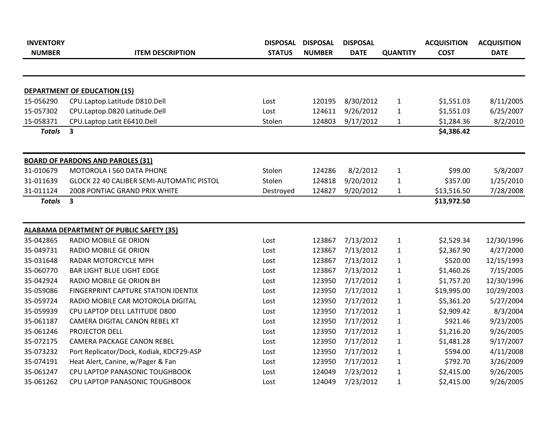| <b>INVENTORY</b> |                                                 | DISPOSAL      | <b>DISPOSAL</b> | <b>DISPOSAL</b> |                 | <b>ACQUISITION</b> | <b>ACQUISITION</b> |
|------------------|-------------------------------------------------|---------------|-----------------|-----------------|-----------------|--------------------|--------------------|
| <b>NUMBER</b>    | <b>ITEM DESCRIPTION</b>                         | <b>STATUS</b> | <b>NUMBER</b>   | <b>DATE</b>     | <b>QUANTITY</b> | <b>COST</b>        | <b>DATE</b>        |
|                  |                                                 |               |                 |                 |                 |                    |                    |
|                  | <b>DEPARTMENT OF EDUCATION (15)</b>             |               |                 |                 |                 |                    |                    |
| 15-056290        | CPU.Laptop.Latitude D810.Dell                   | Lost          | 120195          | 8/30/2012       | $\mathbf{1}$    | \$1,551.03         | 8/11/2005          |
| 15-057302        | CPU.Laptop.D820 Latitude.Dell                   | Lost          | 124611          | 9/26/2012       | $\mathbf{1}$    | \$1,551.03         | 6/25/2007          |
| 15-058371        | CPU.Laptop.Latit E6410.Dell                     | Stolen        | 124803          | 9/17/2012       | $\mathbf{1}$    | \$1,284.36         | 8/2/2010           |
| <b>Totals</b>    | $\overline{\mathbf{3}}$                         |               |                 |                 |                 | \$4,386.42         |                    |
|                  | <b>BOARD OF PARDONS AND PAROLES (31)</b>        |               |                 |                 |                 |                    |                    |
| 31-010679        | MOTOROLA I 560 DATA PHONE                       | Stolen        | 124286          | 8/2/2012        | $\mathbf{1}$    | \$99.00            | 5/8/2007           |
| 31-011639        | GLOCK 22 40 CALIBER SEMI-AUTOMATIC PISTOL       | Stolen        | 124818          | 9/20/2012       | $\mathbf{1}$    | \$357.00           | 1/25/2010          |
| 31-011124        | 2008 PONTIAC GRAND PRIX WHITE                   | Destroyed     | 124827          | 9/20/2012       | $\mathbf{1}$    | \$13,516.50        | 7/28/2008          |
| <b>Totals</b>    | 3                                               |               |                 |                 |                 | \$13,972.50        |                    |
|                  | <b>ALABAMA DEPARTMENT OF PUBLIC SAFETY (35)</b> |               |                 |                 |                 |                    |                    |
| 35-042865        | RADIO MOBILE GE ORION                           | Lost          | 123867          | 7/13/2012       | $\mathbf{1}$    | \$2,529.34         | 12/30/1996         |
| 35-049731        | RADIO MOBILE GE ORION                           | Lost          | 123867          | 7/13/2012       | $\mathbf{1}$    | \$2,367.90         | 4/27/2000          |
| 35-031648        | RADAR MOTORCYCLE MPH                            | Lost          | 123867          | 7/13/2012       | $\mathbf{1}$    | \$520.00           | 12/15/1993         |
| 35-060770        | <b>BAR LIGHT BLUE LIGHT EDGE</b>                | Lost          | 123867          | 7/13/2012       | $\mathbf{1}$    | \$1,460.26         | 7/15/2005          |
| 35-042924        | RADIO MOBILE GE ORION BH                        | Lost          | 123950          | 7/17/2012       | $\mathbf{1}$    | \$1,757.20         | 12/30/1996         |
| 35-059086        | FINGERPRINT CAPTURE STATION IDENTIX             | Lost          | 123950          | 7/17/2012       | $\mathbf{1}$    | \$19,995.00        | 10/29/2003         |
| 35-059724        | RADIO MOBILE CAR MOTOROLA DIGITAL               | Lost          | 123950          | 7/17/2012       | $\mathbf{1}$    | \$5,361.20         | 5/27/2004          |
| 35-059939        | CPU LAPTOP DELL LATITUDE D800                   | Lost          | 123950          | 7/17/2012       | $\mathbf{1}$    | \$2,909.42         | 8/3/2004           |
| 35-061187        | CAMERA DIGITAL CANON REBEL XT                   | Lost          | 123950          | 7/17/2012       | $\mathbf{1}$    | \$921.46           | 9/23/2005          |
| 35-061246        | PROJECTOR DELL                                  | Lost          | 123950          | 7/17/2012       | $\mathbf{1}$    | \$1,216.20         | 9/26/2005          |
| 35-072175        | <b>CAMERA PACKAGE CANON REBEL</b>               | Lost          | 123950          | 7/17/2012       | $\mathbf{1}$    | \$1,481.28         | 9/17/2007          |
| 35-073232        | Port Replicator/Dock, Kodiak, KDCF29-ASP        | Lost          | 123950          | 7/17/2012       | $\mathbf{1}$    | \$594.00           | 4/11/2008          |
| 35-074191        | Heat Alert, Canine, w/Pager & Fan               | Lost          | 123950          | 7/17/2012       | $\mathbf{1}$    | \$792.70           | 3/26/2009          |
| 35-061247        | CPU LAPTOP PANASONIC TOUGHBOOK                  | Lost          | 124049          | 7/23/2012       | $\mathbf{1}$    | \$2,415.00         | 9/26/2005          |
| 35-061262        | CPU LAPTOP PANASONIC TOUGHBOOK                  | Lost          | 124049          | 7/23/2012       | $\mathbf{1}$    | \$2,415.00         | 9/26/2005          |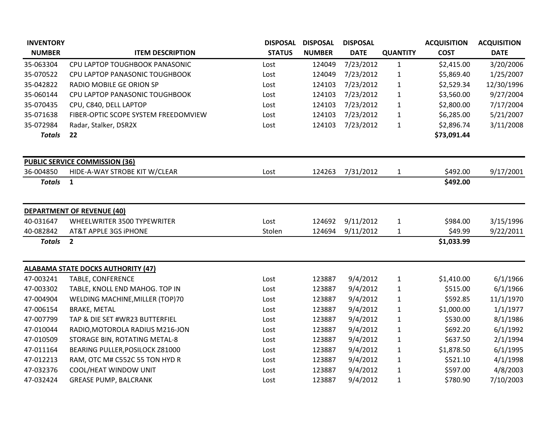| <b>INVENTORY</b> |                                           | <b>DISPOSAL</b> | <b>DISPOSAL</b> | <b>DISPOSAL</b> |                 | <b>ACQUISITION</b> | <b>ACQUISITION</b> |
|------------------|-------------------------------------------|-----------------|-----------------|-----------------|-----------------|--------------------|--------------------|
| <b>NUMBER</b>    | <b>ITEM DESCRIPTION</b>                   | <b>STATUS</b>   | <b>NUMBER</b>   | <b>DATE</b>     | <b>QUANTITY</b> | <b>COST</b>        | <b>DATE</b>        |
| 35-063304        | CPU LAPTOP TOUGHBOOK PANASONIC            | Lost            | 124049          | 7/23/2012       | $\mathbf{1}$    | \$2,415.00         | 3/20/2006          |
| 35-070522        | CPU LAPTOP PANASONIC TOUGHBOOK            | Lost            | 124049          | 7/23/2012       | $\mathbf 1$     | \$5,869.40         | 1/25/2007          |
| 35-042822        | RADIO MOBILE GE ORION SP                  | Lost            | 124103          | 7/23/2012       | $\mathbf{1}$    | \$2,529.34         | 12/30/1996         |
| 35-060144        | CPU LAPTOP PANASONIC TOUGHBOOK            | Lost            | 124103          | 7/23/2012       | $\mathbf{1}$    | \$3,560.00         | 9/27/2004          |
| 35-070435        | CPU, C840, DELL LAPTOP                    | Lost            | 124103          | 7/23/2012       | $\mathbf{1}$    | \$2,800.00         | 7/17/2004          |
| 35-071638        | FIBER-OPTIC SCOPE SYSTEM FREEDOMVIEW      | Lost            | 124103          | 7/23/2012       | $\mathbf{1}$    | \$6,285.00         | 5/21/2007          |
| 35-072984        | Radar, Stalker, DSR2X                     | Lost            | 124103          | 7/23/2012       | $\mathbf{1}$    | \$2,896.74         | 3/11/2008          |
| <b>Totals</b>    | 22                                        |                 |                 |                 |                 | \$73,091.44        |                    |
|                  | <b>PUBLIC SERVICE COMMISSION (36)</b>     |                 |                 |                 |                 |                    |                    |
| 36-004850        | HIDE-A-WAY STROBE KIT W/CLEAR             | Lost            | 124263          | 7/31/2012       | $\mathbf{1}$    | \$492.00           | 9/17/2001          |
| <b>Totals</b>    | $\mathbf{1}$                              |                 |                 |                 |                 | \$492.00           |                    |
|                  | <b>DEPARTMENT OF REVENUE (40)</b>         |                 |                 |                 |                 |                    |                    |
| 40-031647        | WHEELWRITER 3500 TYPEWRITER               | Lost            | 124692          | 9/11/2012       | $\mathbf{1}$    | \$984.00           | 3/15/1996          |
| 40-082842        | AT&T APPLE 3GS IPHONE                     | Stolen          | 124694          | 9/11/2012       | $\mathbf{1}$    | \$49.99            | 9/22/2011          |
| <b>Totals</b>    | $\overline{2}$                            |                 |                 |                 |                 | \$1,033.99         |                    |
|                  | <b>ALABAMA STATE DOCKS AUTHORITY (47)</b> |                 |                 |                 |                 |                    |                    |
| 47-003241        | TABLE, CONFERENCE                         | Lost            | 123887          | 9/4/2012        | $\mathbf{1}$    | \$1,410.00         | 6/1/1966           |
| 47-003302        | TABLE, KNOLL END MAHOG. TOP IN            | Lost            | 123887          | 9/4/2012        | $\mathbf{1}$    | \$515.00           | 6/1/1966           |
| 47-004904        | WELDING MACHINE, MILLER (TOP)70           | Lost            | 123887          | 9/4/2012        | $\mathbf{1}$    | \$592.85           | 11/1/1970          |
| 47-006154        | <b>BRAKE, METAL</b>                       | Lost            | 123887          | 9/4/2012        | $\mathbf{1}$    | \$1,000.00         | 1/1/1977           |
| 47-007799        | TAP & DIE SET #WR23 BUTTERFIEL            | Lost            | 123887          | 9/4/2012        | $\mathbf{1}$    | \$530.00           | 8/1/1986           |
| 47-010044        | RADIO, MOTOROLA RADIUS M216-JON           | Lost            | 123887          | 9/4/2012        | $\mathbf{1}$    | \$692.20           | 6/1/1992           |
| 47-010509        | STORAGE BIN, ROTATING METAL-8             | Lost            | 123887          | 9/4/2012        | $\mathbf{1}$    | \$637.50           | 2/1/1994           |
| 47-011164        | BEARING PULLER, POSILOCK Z81000           | Lost            | 123887          | 9/4/2012        | $\mathbf{1}$    | \$1,878.50         | 6/1/1995           |
| 47-012213        | RAM, OTC M# C552C 55 TON HYD R            | Lost            | 123887          | 9/4/2012        | $\mathbf{1}$    | \$521.10           | 4/1/1998           |
| 47-032376        | COOL/HEAT WINDOW UNIT                     | Lost            | 123887          | 9/4/2012        | $\mathbf{1}$    | \$597.00           | 4/8/2003           |
| 47-032424        | <b>GREASE PUMP, BALCRANK</b>              | Lost            | 123887          | 9/4/2012        | $\mathbf{1}$    | \$780.90           | 7/10/2003          |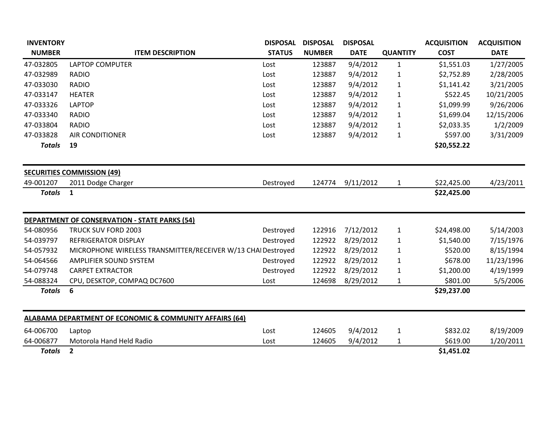| <b>INVENTORY</b> |                                                                    | <b>DISPOSAL</b> | <b>DISPOSAL</b> | <b>DISPOSAL</b> |                 | <b>ACQUISITION</b> | <b>ACQUISITION</b> |
|------------------|--------------------------------------------------------------------|-----------------|-----------------|-----------------|-----------------|--------------------|--------------------|
| <b>NUMBER</b>    | <b>ITEM DESCRIPTION</b>                                            | <b>STATUS</b>   | <b>NUMBER</b>   | <b>DATE</b>     | <b>QUANTITY</b> | <b>COST</b>        | <b>DATE</b>        |
| 47-032805        | <b>LAPTOP COMPUTER</b>                                             | Lost            | 123887          | 9/4/2012        | 1               | \$1,551.03         | 1/27/2005          |
| 47-032989        | <b>RADIO</b>                                                       | Lost            | 123887          | 9/4/2012        | 1               | \$2,752.89         | 2/28/2005          |
| 47-033030        | <b>RADIO</b>                                                       | Lost            | 123887          | 9/4/2012        | $\mathbf{1}$    | \$1,141.42         | 3/21/2005          |
| 47-033147        | <b>HEATER</b>                                                      | Lost            | 123887          | 9/4/2012        | $\mathbf{1}$    | \$522.45           | 10/21/2005         |
| 47-033326        | <b>LAPTOP</b>                                                      | Lost            | 123887          | 9/4/2012        | $\mathbf{1}$    | \$1,099.99         | 9/26/2006          |
| 47-033340        | <b>RADIO</b>                                                       | Lost            | 123887          | 9/4/2012        | $\mathbf{1}$    | \$1,699.04         | 12/15/2006         |
| 47-033804        | <b>RADIO</b>                                                       | Lost            | 123887          | 9/4/2012        | $\mathbf{1}$    | \$2,033.35         | 1/2/2009           |
| 47-033828        | <b>AIR CONDITIONER</b>                                             | Lost            | 123887          | 9/4/2012        | 1               | \$597.00           | 3/31/2009          |
| <b>Totals</b>    | 19                                                                 |                 |                 |                 |                 | \$20,552.22        |                    |
|                  | <b>SECURITIES COMMISSION (49)</b>                                  |                 |                 |                 |                 |                    |                    |
| 49-001207        | 2011 Dodge Charger                                                 | Destroyed       | 124774          | 9/11/2012       | $\mathbf{1}$    | \$22,425.00        | 4/23/2011          |
| <b>Totals</b>    | $\mathbf{1}$                                                       |                 |                 |                 |                 | \$22,425.00        |                    |
|                  | <b>DEPARTMENT OF CONSERVATION - STATE PARKS (54)</b>               |                 |                 |                 |                 |                    |                    |
| 54-080956        | TRUCK SUV FORD 2003                                                | Destroyed       | 122916          | 7/12/2012       | $\mathbf{1}$    | \$24,498.00        | 5/14/2003          |
| 54-039797        | REFRIGERATOR DISPLAY                                               | Destroyed       | 122922          | 8/29/2012       | $\mathbf{1}$    | \$1,540.00         | 7/15/1976          |
| 54-057932        | MICROPHONE WIRELESS TRANSMITTER/RECEIVER W/13 CHAI Destroyed       |                 | 122922          | 8/29/2012       | $\mathbf{1}$    | \$520.00           | 8/15/1994          |
| 54-064566        | AMPLIFIER SOUND SYSTEM                                             | Destroyed       | 122922          | 8/29/2012       | $\mathbf{1}$    | \$678.00           | 11/23/1996         |
| 54-079748        | <b>CARPET EXTRACTOR</b>                                            | Destroyed       | 122922          | 8/29/2012       | $\mathbf{1}$    | \$1,200.00         | 4/19/1999          |
| 54-088324        | CPU, DESKTOP, COMPAQ DC7600                                        | Lost            | 124698          | 8/29/2012       | 1               | \$801.00           | 5/5/2006           |
| <b>Totals</b>    | 6                                                                  |                 |                 |                 |                 | \$29,237.00        |                    |
|                  | <b>ALABAMA DEPARTMENT OF ECONOMIC &amp; COMMUNITY AFFAIRS (64)</b> |                 |                 |                 |                 |                    |                    |
| 64-006700        | Laptop                                                             | Lost            | 124605          | 9/4/2012        | $\mathbf{1}$    | \$832.02           | 8/19/2009          |
| 64-006877        | Motorola Hand Held Radio                                           | Lost            | 124605          | 9/4/2012        | $\mathbf{1}$    | \$619.00           | 1/20/2011          |
| <b>Totals</b>    | $\overline{2}$                                                     |                 |                 |                 |                 | \$1,451.02         |                    |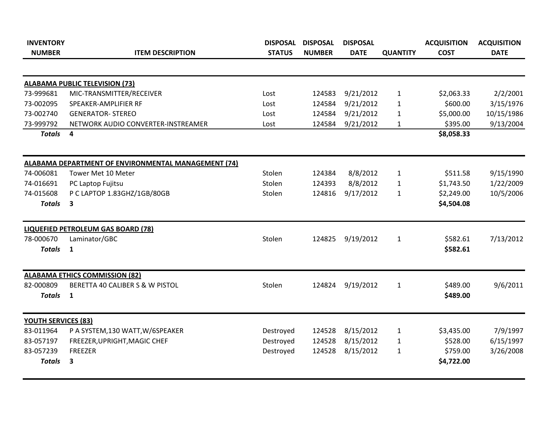| <b>INVENTORY</b>           |                                                     | <b>DISPOSAL</b> | <b>DISPOSAL</b> | <b>DISPOSAL</b> |                 | <b>ACQUISITION</b> | <b>ACQUISITION</b> |
|----------------------------|-----------------------------------------------------|-----------------|-----------------|-----------------|-----------------|--------------------|--------------------|
| <b>NUMBER</b>              | <b>ITEM DESCRIPTION</b>                             | <b>STATUS</b>   | <b>NUMBER</b>   | <b>DATE</b>     | <b>QUANTITY</b> | <b>COST</b>        | <b>DATE</b>        |
|                            |                                                     |                 |                 |                 |                 |                    |                    |
|                            | <b>ALABAMA PUBLIC TELEVISION (73)</b>               |                 |                 |                 |                 |                    |                    |
| 73-999681                  | MIC-TRANSMITTER/RECEIVER                            | Lost            | 124583          | 9/21/2012       | $\mathbf{1}$    | \$2,063.33         | 2/2/2001           |
| 73-002095                  | SPEAKER-AMPLIFIER RF                                | Lost            | 124584          | 9/21/2012       | 1               | \$600.00           | 3/15/1976          |
| 73-002740                  | <b>GENERATOR- STEREO</b>                            | Lost            | 124584          | 9/21/2012       | $\mathbf{1}$    | \$5,000.00         | 10/15/1986         |
| 73-999792                  | NETWORK AUDIO CONVERTER-INSTREAMER                  | Lost            | 124584          | 9/21/2012       | $\mathbf{1}$    | \$395.00           | 9/13/2004          |
| <b>Totals</b>              | 4                                                   |                 |                 |                 |                 | \$8,058.33         |                    |
|                            | ALABAMA DEPARTMENT OF ENVIRONMENTAL MANAGEMENT (74) |                 |                 |                 |                 |                    |                    |
| 74-006081                  | Tower Met 10 Meter                                  | Stolen          | 124384          | 8/8/2012        | $\mathbf{1}$    | \$511.58           | 9/15/1990          |
| 74-016691                  | PC Laptop Fujitsu                                   | Stolen          | 124393          | 8/8/2012        | 1               | \$1,743.50         | 1/22/2009          |
| 74-015608                  | P C LAPTOP 1.83GHZ/1GB/80GB                         | Stolen          | 124816          | 9/17/2012       | $\mathbf{1}$    | \$2,249.00         | 10/5/2006          |
| <b>Totals</b>              | $\overline{\mathbf{3}}$                             |                 |                 |                 |                 | \$4,504.08         |                    |
|                            | LIQUEFIED PETROLEUM GAS BOARD (78)                  |                 |                 |                 |                 |                    |                    |
| 78-000670                  | Laminator/GBC                                       | Stolen          | 124825          | 9/19/2012       | $\mathbf{1}$    | \$582.61           | 7/13/2012          |
| <b>Totals</b>              | $\mathbf{1}$                                        |                 |                 |                 |                 | \$582.61           |                    |
|                            | <b>ALABAMA ETHICS COMMISSION (82)</b>               |                 |                 |                 |                 |                    |                    |
| 82-000809                  | BERETTA 40 CALIBER S & W PISTOL                     | Stolen          | 124824          | 9/19/2012       | $\mathbf{1}$    | \$489.00           | 9/6/2011           |
| <b>Totals</b>              | $\mathbf{1}$                                        |                 |                 |                 |                 | \$489.00           |                    |
| <b>YOUTH SERVICES (83)</b> |                                                     |                 |                 |                 |                 |                    |                    |
| 83-011964                  | P A SYSTEM, 130 WATT, W/6SPEAKER                    | Destroyed       | 124528          | 8/15/2012       | 1               | \$3,435.00         | 7/9/1997           |
| 83-057197                  | FREEZER, UPRIGHT, MAGIC CHEF                        | Destroyed       | 124528          | 8/15/2012       | $\mathbf{1}$    | \$528.00           | 6/15/1997          |
| 83-057239                  | <b>FREEZER</b>                                      | Destroyed       | 124528          | 8/15/2012       | $\mathbf{1}$    | \$759.00           | 3/26/2008          |
| <b>Totals</b>              | 3                                                   |                 |                 |                 |                 | \$4,722.00         |                    |